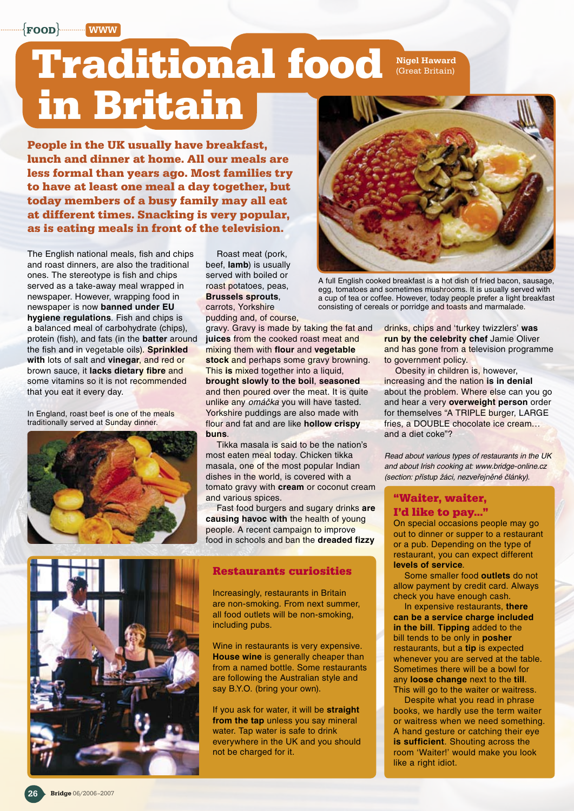{**food**} www

# **Traditional food in Britain**

**People in the UK usually have breakfast, lunch and dinner at home. All our meals are less formal than years ago. Most families try to have at least one meal a day together, but today members of a busy family may all eat at different times. Snacking is very popular, as is eating meals in front of the television.** 

The English national meals, fish and chips and roast dinners, are also the traditional ones. The stereotype is fish and chips served as a take-away meal wrapped in newspaper. However, wrapping food in newspaper is now **banned under EU hygiene regulations**. Fish and chips is a balanced meal of carbohydrate (chips), protein (fish), and fats (in the **batter** around the fish and in vegetable oils). **Sprinkled with** lots of salt and **vinegar**, and red or brown sauce, it **lacks dietary fibre** and some vitamins so it is not recommended that you eat it every day.

In England, roast beef is one of the meals traditionally served at Sunday dinner.



Roast meat (pork, beef, **lamb**) is usually served with boiled or roast potatoes, peas, **Brussels sprouts**, carrots, Yorkshire pudding and, of course,

gravy. Gravy is made by taking the fat and **juices** from the cooked roast meat and mixing them with **flour** and **vegetable stock** and perhaps some gravy browning. This **is** mixed together into a liquid, **brought slowly to the boil**, **seasoned**  and then poured over the meat. It is quite unlike any omáčka you will have tasted. Yorkshire puddings are also made with flour and fat and are like **hollow crispy buns**.

Tikka masala is said to be the nation's most eaten meal today. Chicken tikka masala, one of the most popular Indian dishes in the world, is covered with a tomato gravy with **cream** or coconut cream and various spices.

Fast food burgers and sugary drinks **are causing havoc with** the health of young people. A recent campaign to improve food in schools and ban the **dreaded fizzy** 



#### **Restaurants curiosities**

Increasingly, restaurants in Britain are non-smoking. From next summer, all food outlets will be non-smoking, including pubs.

Wine in restaurants is very expensive. **House wine** is generally cheaper than from a named bottle. Some restaurants are following the Australian style and say B.Y.O. (bring your own).

If you ask for water, it will be **straight from the tap** unless you say mineral water. Tap water is safe to drink everywhere in the UK and you should not be charged for it.



Nigel Haward (Great Britain)

A full English cooked breakfast is a hot dish of fried bacon, sausage, egg, tomatoes and sometimes mushrooms. It is usually served with a cup of tea or coffee. However, today people prefer a light breakfast consisting of cereals or porridge and toasts and marmalade.

drinks, chips and 'turkey twizzlers' **was run by the celebrity chef** Jamie Oliver and has gone from a television programme to government policy.

Obesity in children is, however, increasing and the nation **is in denial** about the problem. Where else can you go and hear a very **overweight person** order for themselves "A TRIPLE burger, LARGE fries, a DOUBLE chocolate ice cream… and a diet coke"?

Read about various types of restaurants in the UK and about Irish cooking at: www.bridge-online.cz (section: přístup žáci, nezveřejněné články).

### **"Waiter, waiter,**

#### **I'd like to pay…"**

On special occasions people may go out to dinner or supper to a restaurant or a pub. Depending on the type of restaurant, you can expect different **levels of service**.

Some smaller food **outlets** do not allow payment by credit card. Always check you have enough cash.

In expensive restaurants, **there can be a service charge included in the bill**. **Tipping** added to the bill tends to be only in **posher** restaurants, but a **tip** is expected whenever you are served at the table. Sometimes there will be a bowl for any **loose change** next to the **till**. This will go to the waiter or waitress.

Despite what you read in phrase books, we hardly use the term waiter or waitress when we need something. A hand gesture or catching their eye **is sufficient**. Shouting across the room 'Waiter!' would make you look like a right idiot.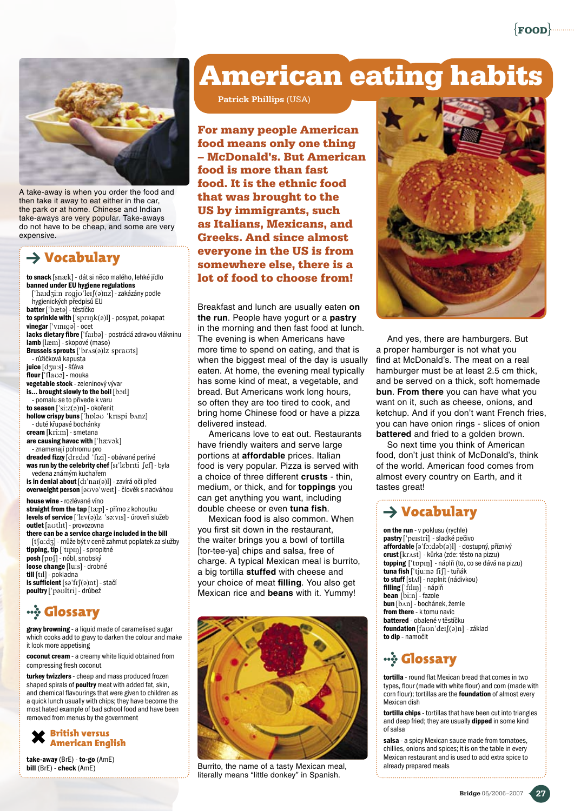{**food**}



A take-away is when you order the food and then take it away to eat either in the car, the park or at home. Chinese and Indian take-aways are very popular. Take-aways do not have to be cheap, and some are very expensive.

### $\rightarrow$  Vocabulary

to snack [snæk] - dát si něco malého, lehké jídlo banned under EU hygiene regulations ['haɪdʒi:n rɛgjʊ'leɪʃ(ə)nz] - zakázány podle hygienických předpisů EU batter ['bæta] - těstíčko to sprinkle with  $[$ 'spr $\text{nyk}(a)1]$  - posypat, pokapat vinegar ['vɪnɪqə] - ocet lacks dietary fibre ['faIba] - postrádá zdravou vlákninu lamb [læm] - skopové (maso) Brussels sprouts  $[^\prime$ br $\Lambda s($ ə)lz spra $u$ ts] - růžičková kapusta juice [dʒu:s] - šťáva  $f$ lour  $f$ 'fla $\overline{\omega}$ ] - mouka vegetable stock - zeleninový vývar is... brought slowly to the boil [boil] - pomalu se to přivede k varu to season ['si:z(a)n] - okořenit hollow crispy buns ['hplao 'krispi bAnz] - duté křupavé bochánky cream [kri:m] - smetana are causing havoc with  $[ 'h \text{avok} ]$ - znamenají pohromu pro dreaded fizzy dredid 'fizi] - obávané perlivé was run by the celebrity chef [sɪ'lɛbrɪti [ef] - byla vedena známým kuchařem is in denial about  $[dr'naI(0)]$  - zavírá oči před overweight person [auva wert] - člověk s nadváhou house wine - rozlévané víno straight from the tap [tæp] - přímo z kohoutku levels of service ["lEv(@)lz "s@:vIs] - úroveň služeb outlet [aotlɪt] - provozovna there can be a service charge included in the bill [tʃa:dʒ] - může být v ceně zahrnut poplatek za služby tipping, tip ['tɪpɪŋ] - spropitné posh [ppf] - nóbl, snobský loose change [lu:s] - drobné till [tIl] - pokladna is sufficient [sə'fɪʃ(ə)nt] - stačí poultry ['paoltri] - drůbež *W* Glossary

gravy browning - a liquid made of caramelised sugar which cooks add to gravy to darken the colour and make it look more appetising

coconut cream - a creamy white liquid obtained from compressing fresh coconut

turkey twizzlers - cheap and mass produced frozen shaped spirals of **poultry** meat with added fat, skin, and chemical flavourings that were given to children as a quick lunch usually with chips; they have become the most hated example of bad school food and have been removed from menus by the government



take-away (BrE) - to-go (AmE)<br>bill (BrE) - check (AmE)

# **American eating habits**

Patrick Phillips (USA)

**For many people American food means only one thing – McDonald's. But American food is more than fast food. It is the ethnic food that was brought to the US by immigrants, such as Italians, Mexicans, and Greeks. And since almost everyone in the US is from somewhere else, there is a lot of food to choose from!**

Breakfast and lunch are usually eaten **on the run**. People have yogurt or a **pastry** in the morning and then fast food at lunch. The evening is when Americans have more time to spend on eating, and that is when the biggest meal of the day is usually eaten. At home, the evening meal typically has some kind of meat, a vegetable, and bread. But Americans work long hours, so often they are too tired to cook, and bring home Chinese food or have a pizza delivered instead.

Americans love to eat out. Restaurants have friendly waiters and serve large portions at **affordable** prices. Italian food is very popular. Pizza is served with a choice of three different **crusts** - thin, medium, or thick, and for **toppings** you can get anything you want, including double cheese or even **tuna fish**.

Mexican food is also common. When you first sit down in the restaurant, the waiter brings you a bowl of tortilla [tor-tee-ya] chips and salsa, free of charge. A typical Mexican meal is burrito, a big tortilla **stuffed** with cheese and your choice of meat **filling**. You also get Mexican rice and **beans** with it. Yummy!



Burrito, the name of a tasty Mexican meal, literally means "little donkey" in Spanish.



And yes, there are hamburgers. But a proper hamburger is not what you find at McDonald's. The meat on a real hamburger must be at least 2.5 cm thick, and be served on a thick, soft homemade **bun**. **From there** you can have what you want on it, such as cheese, onions, and ketchup. And if you don't want French fries, you can have onion rings - slices of onion **battered** and fried to a golden brown.

So next time you think of American food, don't just think of McDonald's, think of the world. American food comes from almost every country on Earth, and it tastes great!

### $\rightarrow$  Vocabulary

on the run - v poklusu (rychle) pastry ['peɪstri] - sladké pečivo affordable [a'fo:dab(a)l] - dostupný, příznivý crust [kr^st] - kůrka (zde: těsto na pizzu) topping ['tppɪŋ] - náplň (to, co se dává na pizzu) tuna fish ['tju:na fif] - tuňák to stuff [stʌf] - naplnit (nádivkou) filling ['filin] - náplň bean [bi:n] - fazole bun [bʌn] - bochánek, žemle from there - k tomu navíc battered - obalené v těstíčku foundation [faon'deɪʃ(ə)n] - základ to dip - namočit

## *<b>WA* Glossary

tortilla - round flat Mexican bread that comes in two types, flour (made with white flour) and corn (made with corn flour); tortillas are the **foundation** of almost every Mexican dish

tortilla chips - tortillas that have been cut into triangles and deep fried; they are usually dipped in some kind of salsa

salsa - a spicy Mexican sauce made from tomatoes, chillies, onions and spices; it is on the table in every Mexican restaurant and is used to add extra spice to already prepared meals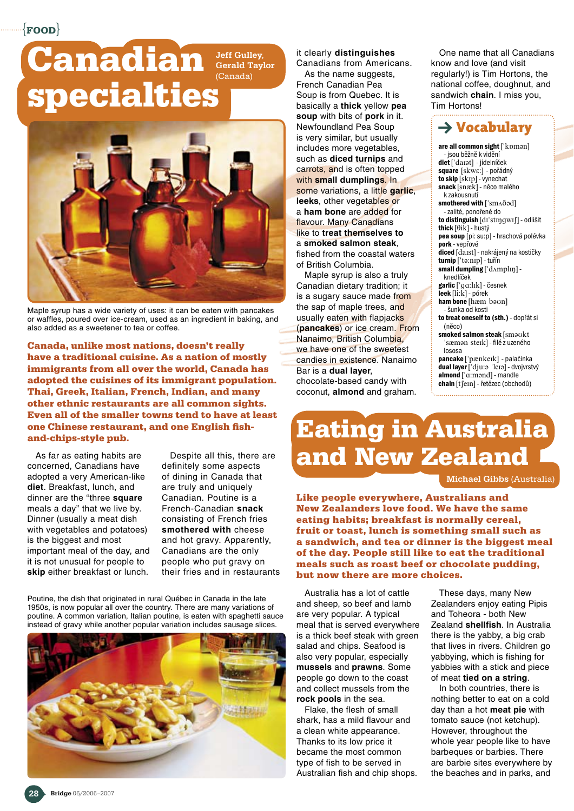$\{$ food $\}$ 

# **Canadian specialties**





Maple syrup has a wide variety of uses: it can be eaten with pancakes or waffles, poured over ice-cream, used as an ingredient in baking, and also added as a sweetener to tea or coffee.

**Canada, unlike most nations, doesn't really have a traditional cuisine. As a nation of mostly immigrants from all over the world, Canada has adopted the cuisines of its immigrant population. Thai, Greek, Italian, French, Indian, and many other ethnic restaurants are all common sights. Even all of the smaller towns tend to have at least one Chinese restaurant, and one English fish‑ and‑chips-style pub.**

As far as eating habits are concerned, Canadians have adopted a very American-like **diet**. Breakfast, lunch, and dinner are the "three **square** meals a day" that we live by. Dinner (usually a meat dish with vegetables and potatoes) is the biggest and most important meal of the day, and it is not unusual for people to **skip** either breakfast or lunch.

Despite all this, there are definitely some aspects of dining in Canada that are truly and uniquely Canadian. Poutine is a French‑Canadian **snack** consisting of French fries **smothered with** cheese and hot gravy. Apparently, Canadians are the only people who put gravy on their fries and in restaurants

Poutine, the dish that originated in rural Québec in Canada in the late 1950s, is now popular all over the country. There are many variations of poutine. A common variation, Italian poutine, is eaten with spaghetti sauce instead of gravy while another popular variation includes sausage slices.



### it clearly **distinguishes**

Canadians from Americans. As the name suggests, French Canadian Pea Soup is from Quebec. It is basically a **thick** yellow **pea soup** with bits of **pork** in it. Newfoundland Pea Soup is very similar, but usually includes more vegetables, such as **diced turnips** and carrots, and is often topped with **small dumplings**. In some variations, a little **garlic**, **leeks**, other vegetables or a **ham bone** are added for flavour. Many Canadians like to **treat themselves to**  a **smoked salmon steak**, fished from the coastal waters of British Columbia.

Maple syrup is also a truly Canadian dietary tradition; it is a sugary sauce made from the sap of maple trees, and usually eaten with flapjacks (**pancakes**) or ice cream. From Nanaimo, British Columbia, we have one of the sweetest candies in existence. Nanaimo Bar is a **dual layer**, chocolate‑based candy with coconut, **almond** and graham.

One name that all Canadians know and love (and visit regularly!) is Tim Hortons, the national coffee, doughnut, and sandwich **chain**. I miss you, Tim Hortons!



are all common sight ['kpman] - jsou běžně k vidění diet ['darat] - jídelníček square [skwɛː] - pořádný to skip [skɪp] - vynechat snack [snæk] - něco malého k zakousnutí smothered with ['smA $\delta$ ad] - zalité, ponořené do to distinguish [dɪ'stɪŋqwɪʃ] - odlišit thick  $[0i\bar{k}]$  - hustý pea soup [pi: su:p] - hrachová polévka pork - vepřové diced [daɪst] - nakrájený na kostičky turnip ['ta:nɪp] - tuřín small dumpling ['dAmplIn] knedlíček garlic ['ga:lɪk] - česnek leek [li:k] - pórek ham bone [hæm baun] - šunka od kosti to treat oneself to (sth.) - dopřát si (něco) smoked salmon steak [smaukt 'sæman sterk] - filé z uzeného lososa pancake ['pænkeɪk] - palačinka dual layer ['dju: o 'leIa] - dvojvrstvý  ${\sf almond}$  [' $\alpha$ :mond] - mandle  $chain$  [t $\text{[cm]}$  - řetězec (obchodů)

# **Eating in Australia and New Zealand**

Michael Gibbs (Australia)

**Like people everywhere, Australians and New Zealanders love food. We have the same eating habits; breakfast is normally cereal, fruit or toast, lunch is something small such as a sandwich, and tea or dinner is the biggest meal of the day. People still like to eat the traditional meals such as roast beef or chocolate pudding, but now there are more choices.**

Australia has a lot of cattle and sheep, so beef and lamb are very popular. A typical meal that is served everywhere is a thick beef steak with green salad and chips. Seafood is also very popular, especially **mussels** and **prawns**. Some people go down to the coast and collect mussels from the **rock pools** in the sea.

Flake, the flesh of small shark, has a mild flavour and a clean white appearance. Thanks to its low price it became the most common type of fish to be served in Australian fish and chip shops.

These days, many New Zealanders enjoy eating Pipis and Toheora - both New Zealand **shellfish**. In Australia there is the yabby, a big crab that lives in rivers. Children go yabbying, which is fishing for yabbies with a stick and piece of meat **tied on a string**.

In both countries, there is nothing better to eat on a cold day than a hot **meat pie** with tomato sauce (not ketchup). However, throughout the whole year people like to have barbeques or barbies. There are barbie sites everywhere by the beaches and in parks, and